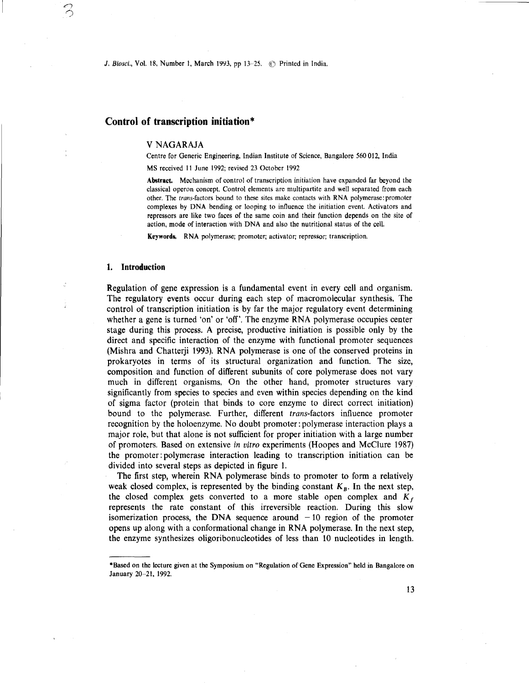J, Biosci., Vol. 18, Number 1, March 1993, pp 13-25.  $\circled{c}$  Printed in India,

# Control of transcription initiation\*

### V NAGARAJA

Centre for Generic Engineering, Indian Institute of Science, Bangalore 560 012, India

MS received 11 June 1992; revised 23 October 1992

Abstract. Mechanism of control of transcription initiation have expanded far beyond the classical operon concept, Control elements are multipartite and well separated from each other, The trans-factors bound to these sites make contacts with RNA polymerase : promoter complexes by DNA bending or looping to influence the initiation event . Activators and repressors are like two faces of the same coin and their function depends on the site of action, mode of interaction with DNA and also the nutritional status of the cell,

Keywords. RNA polymerase; promoter; activator; repressor; transcription .

### 1. Introduction

Regulation of gene expression is a fundamental event in every cell and organism . The regulatory events occur during each step of macromolecular synthesis, The control of transcription initiation is by far the major regulatory event determining whether a gene is turned 'on' or 'off'. The enzyme RNA polymerase occupies center stage during this process . A precise, productive initiation is possible only by the direct and specific interaction of the enzyme with functional promoter sequences (Mishra and Chatterji 1993) . RNA polymerase is one of the conserved proteins in prokaryotes in terms of its structural organization and function. The size, composition and function of different subunits of core polymerase does not vary much in different organisms, On the other hand, promoter structures vary significantly from species to species and even within species depending on the kind of sigma factor (protein that binds to core enzyme to direct correct initiation) bound to the polymerase. Further, different trans-factors influence promoter recognition by the holoenzyme . No doubt promoter : polymerase interaction plays a major role, but that alone is not sufficient for proper initiation with a large number of promoters. Based on extensive in vitro experiments (Hoopes and McClure 1987) the promoter : polymerase interaction leading to transcription initiation can be divided into several steps as depicted in figure 1.

The first step, wherein RNA polymerase binds to promoter to form a relatively weak closed complex, is represented by the binding constant  $K_B$ . In the next step, the closed complex gets converted to a more stable open complex and  $K_f$ represents the rate constant of this irreversible reaction. During this slow isomerization process, the DNA sequence around  $-10$  region of the promoter opens up along with a conformational change in RNA polymerase . In the next step, the enzyme synthesizes oligoribonucleotides of less than 10 nucleotides in length.

13

<sup>\*</sup>Based on the lecture given at the Symposium on "Regulation of Gene Expression" held in Bangalore on January 20-21, 1992.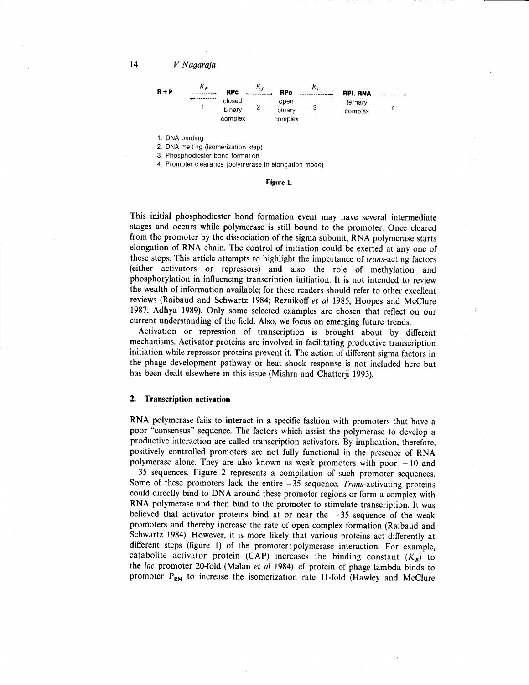

2 . DNA melting (isomerization step)

3 . Phosphodiester bond formation

4 . Promoter clearance (polymerase in elongation mode)

### Figure 1.

This initial phosphodiester bond formation event may have several intermediate stages and occurs while polymerase is still bound to the promoter. Once cleared from the promoter by the dissociation of the sigma subunit, RNA polymerase starts elongation of RNA chain. The control of initiation could be exerted at any one of these steps. This article attempts to highlight the importance of trans-acting factors (either activators or repressors) and also the role of methylation and phosphorylation in influencing transcription initiation . It is not intended to review the wealth of information available; for these readers should refer to other excellent reviews (Raibaud and Schwartz 1984; Reznikoff et al 1985; Hoopes and McClure 1987; Adhya 1989). Only some selected examples are chosen that reflect on our current understanding of the field. Also, we focus on emerging future trends.

Activation or repression of transcription is brought about by different mechanisms. Activator proteins are involved in facilitating productive transcription initiation while repressor proteins prevent it. The action of different sigma factors in the phage development pathway or heat shock response is not included here but has been dealt elsewhere in this issue (Mishra and Chatterii 1993).

### 2. Transcription activation

RNA polymerase fails to interact in a specific fashion with promoters that have a poor "consensus" sequence. The factors which assist the polymerase to develop a productive interaction are called transcription activators . By implication, therefore, positively controlled promoters are not fully functional in the presence of RNA polymerase alone. They are also known as weak promoters with poor  $-10$  and  $-35$  sequences. Figure 2 represents a compilation of such promoter sequences. Some of these promoters lack the entire  $-35$  sequence. Trans-activating proteins could directly bind to DNA around these promoter regions or form a complex with RNA polymerase and then bind to the promoter to stimulate transcription . It was believed that activator proteins bind at or near the  $-35$  sequence of the weak promoters and thereby increase the rate of open complex formation (Raibaud and Schwartz 1984) . However, it is more likely that various proteins act differently at different steps (figure 1) of the promoter : polymerase interaction . For example, catabolite activator protein (CAP) increases the binding constant  $(K_B)$  to the lac promoter 20-fold (Malan et al 1984). cI protein of phage lambda binds to promoter  $P_{RM}$  to increase the isomerization rate 11-fold (Hawley and McClure

 

 

n<br>1970 - Jan Barnett<br>1970 - Jan Barnett, fransk forfatter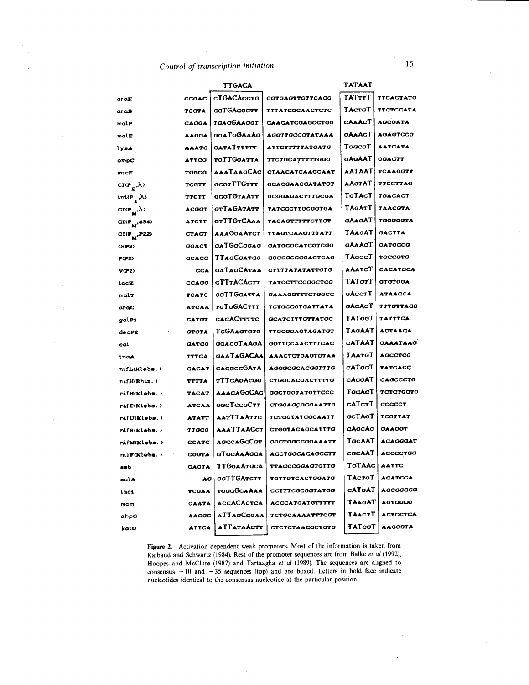|                                     |              | <b>TTGACA</b>     |                        | <b>TATAAT</b>             |                  |
|-------------------------------------|--------------|-------------------|------------------------|---------------------------|------------------|
| araE                                | CCGAC        | <b>CTGACACCTG</b> | COTOAOTTOTTCACO        | <b>TATTTT</b>             | <b>TTCACTATG</b> |
| araB                                | <b>TCCTA</b> | CCTGACGCTT        | <b>TTTATCGCAACTCTC</b> | ТАстоТ                    | <b>TTCTCCATA</b> |
| malP                                | <b>CAOGA</b> | <b>TGAGGAAGGT</b> | CAACATCGAGCCTGG        | CAAACT                    | <b>ACCOATA</b>   |
| malE                                | <b>AAGGA</b> | <b>GOATGGAAAG</b> | <b>AGGTTGCCGTATAAA</b> | GAAACT                    | <b>AGAGTCCG</b>  |
| lysA                                | <b>AAATC</b> | <b>GATATTTTT</b>  | <b>ATTCTTTTTATGATG</b> | TaacaT                    | <b>AATCATA</b>   |
| ompC                                | <b>ATTCO</b> | <b>TGTTGGATTA</b> | TTCTGCATTTTTGGG        | GAGAAT                    | <b>GGACTT</b>    |
| micF                                | TOOCO        | <b>AAATAAGCAC</b> | CTAACATCAAGCAAT        | aataat                    | <b>TCAAGGTT</b>  |
| $CIP_{\mathbf{r}}, \lambda$         | TCGTT        | осотТТ6ттт        | <b>GCACGAACCATATGT</b> | <b>ААGTAT</b>             | <b>TTCCTTAG</b>  |
| intr $\mathbf{r}_r$ $\lambda$       | TTCTT        | <b>GCGTGTAATT</b> | <b>GCGGAGACTTTGCGA</b> | <b>ToTACT</b>             | <b>TOACACT</b>   |
| $_{\text{CIP}_{\mathbf{M}}}\lambda$ | <b>ACGGT</b> | <b>ОТТАGАТАТТ</b> | <b>TATCCCTTGCGGTGA</b> | ТАоАтТ                    | <b>TAACOTA</b>   |
| $CICP_{M'}$ 434)                    | <b>ATCTT</b> | <b>GTTTGTCAAA</b> | <b>TACAGTTTTTCTTGT</b> | <b>GAAGAT</b>             | <b>TGGGGGTA</b>  |
| $C I(P_M, P22)$                     | <b>CTACT</b> | <b>AAAGGAATCT</b> | <b>TTAGTCAAGTTTATT</b> | TAAOAT                    | <b>GACTTA</b>    |
| O(P2)                               | <b>GGACT</b> | <b>GATGGCGGAG</b> | GATGCGCATCGTCGG        | <b>GAAACT</b>             | GATGCCG          |
| P(PZ)                               | <b>OCACC</b> | <b>TTAGCGATCG</b> | COOGOCGCOACTCAG        | <b>TAGCCT</b>             | TOCCOTO          |
| V(PZ)                               | CCA          | <b>GATAGCATAA</b> | <b>СТТТТАТАТАТТОТО</b> | <b>AAATCT</b>             | CACATOCA         |
| lacz                                | <b>CCAGG</b> | <b>CTTTACACTT</b> | <b>TATCCTTCCGGCTCG</b> | <b>TATOTT</b>             | <b>GTGTGGA</b>   |
| malT                                | <b>TCATC</b> | <b>GCTTGCATTA</b> | <b>GAAAGGTTTCTGGCC</b> | <b>GACCTT</b>             | <b>ATAACCA</b>   |
| araC                                | <b>ATCAA</b> | тоТоGAСттт        | <b>TCTGCCGTGATTATA</b> | <b>GACACT</b>             | <b>TTTGTTACG</b> |
| galP1                               | <b>CATOT</b> | CACACTTTTC        | <b>GCATCTTTGTTATGC</b> | TATGGT                    | <b>TATTTCA</b>   |
| $de$ o $P2$                         | <b>GTGTA</b> | ТсбАастото        | TTOCOGAGTAGATGT        | ΤΑσΑΑΤ                    | <b>ACTAACA</b>   |
| cat                                 | <b>GATCO</b> | <b>GCACGTAAGA</b> | <b>GOTTCCAACTTTCAC</b> | $_{\rm \textbf{CATTAAT}}$ | <b>GAAATAAG</b>  |
| inaA                                | <b>TTTCA</b> | GAATAGACAA        | <b>AAACTCTGAGTGTAA</b> | <b>TAATGT</b>             | <b>AGCCTCG</b>   |
| nifL(Klebs.)                        | <b>CACAT</b> | <b>CACGCCGATA</b> | <b>AGGCCGCACGGTTTG</b> | <b>CATagT</b>             | <b>TATCACC</b>   |
| nifH(Rhiz.)                         | <b>TTTTA</b> | TTTcAgAcgg        | <b>CTGGCACGACTTTTG</b> | <b>CACGAT</b>             | <b>CACCCCTO</b>  |
| nifH(Klebs.)                        | <b>TACAT</b> | <b>AAACAGGCAC</b> | GOCTOGTATGTTCCC        | TacAcT                    | TCTCTOCTO        |
| nifE(Klebs.)                        | <b>ATCAA</b> | <b>agcTccgCtt</b> | CTGGAGCGCGAATTG        | <b>CATCTT</b>             | CCCCCT           |
| $n$ fU(Klebs. $)$                   | ATATT        | <b>AATTTAATTC</b> | <b>TCTGGTATCGCAATT</b> | ocTAoT                    | <b>TCOTTAT</b>   |
| nifB(Klebs.)                        | <b>TTGCO</b> | <b>AAATTAACCT</b> | CTGGTACAGCATTTG        | cAacAa                    | <b>GAAGGT</b>    |
| nifM(Klebs.)                        | <b>CCATC</b> | <b>AGCCAGCCOT</b> | <b>GGCTGGCCGGAAATT</b> | TocAAT                    | <b>ACAGGGAT</b>  |
| nifF(Klobs.)                        | COOTA        | <b>aTacAaAaca</b> | <b>ACCTGGCACAGCCTT</b> | COCAAT                    | <b>ACCCCTGC</b>  |
| 88 C                                | CAGTA        | <b>TTGGAATGCA</b> | <b>TTACCCGGAGTGTTG</b> | TGTAAC LAATTC             |                  |
| sulA                                | AO           | <b>GGTTGATCTT</b> | TOTTOTCACTOGATO        | ТАстоТ                    | <b>ACATCCA</b>   |
| lact                                | <b>TCOAA</b> | <b>TGGCGCAAAA</b> | <b>CCTTTCGCGOTATGG</b> | <b>CATGAT</b>             | <b>AGCGGCCO</b>  |
| mom                                 | CAATA        | <b>ACCACACTCA</b> | <b>ACCCATGATGTTTTT</b> | <b>TAAGAT</b>             | <b>ACTOCCC</b>   |
| ahpC                                | <b>AACGC</b> | <b>ATTAGCCGAA</b> | <b>TCTGCAAAATTTCGT</b> | ТААСТТ                    | <b>ACTCCTCA</b>  |
| kata                                | <b>ATTCA</b> | <b>ATTATAACTT</b> | CTCTCTAACOCTGTG        | TATcoT                    | <b>AACOOTA</b>   |

Figure 2. Activation dependent weak promoters. Most of the information is taken from Raibaud and Schwartz (1984) . Rest of the promoter sequences are from Balke et al (1992), Hoopes and McClure (1987) and Tartaaglia et al (1989). The sequences are aligned to consensus  $-10$  and  $-35$  sequences (top) and are boxed. Letters in bold face indicate nucleotides identical to the consensus nucleotide at the particular position .

15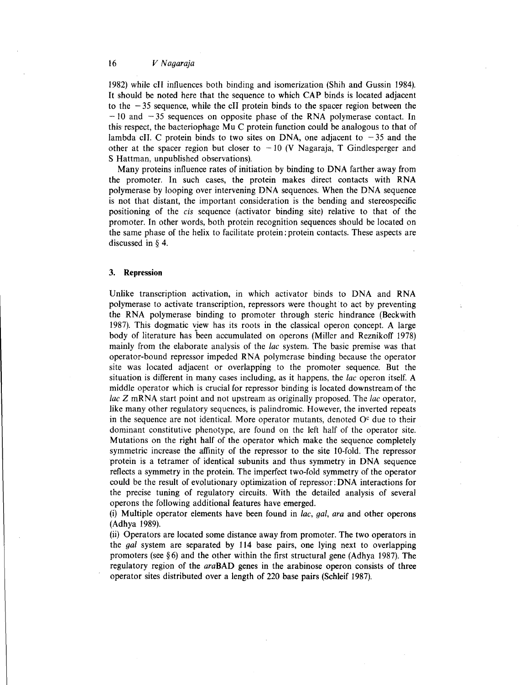#### <sup>1</sup> 6 V Nagaraja

 

1982) while ell influences both binding and isomerization (Shih and Gussin 1984) . It should be noted here that the sequence to which CAP binds is located adjacent to the  $-35$  sequence, while the cII protein binds to the spacer region between the  $-10$  and  $-35$  sequences on opposite phase of the RNA polymerase contact. In this respect, the bacteriophage Mu C protein function could be analogous to that of lambda cII. C protein binds to two sites on DNA, one adjacent to  $-35$  and the other at the spacer region but closer to  $-10$  (V Nagaraja, T Gindlesperger and S Hattman, unpublished observations).

Many proteins influence rates of initiation by binding to DNA farther away from the promoter . In such cases, the protein makes direct contacts with RNA polymerase by looping over intervening DNA sequences . When the DNA sequence is not that distant, the important consideration is the bending and stereospecific positioning of the cis sequence (activator binding site) relative to that of the promoter. In other words, both protein recognition sequences should be located on the same phase of the helix to facilitate protein : protein contacts . These aspects are discussed in § 4.

# 3. Repression

Unlike transcription activation, in which activator binds to DNA and RNA polymerase to activate transcription, repressors were thought to act by preventing the RNA polymerase binding to promoter through steric hindrance (Beckwith 1987) . This dogmatic view has its roots in the classical operon concept . A large body of literature has been accumulated on operons (Miller and Reznikoff 1978) mainly from the elaborate analysis of the *lac* system. The basic premise was that operator-bound repressor impeded RNA polymerase binding because the operator site was located adjacent or overlapping to the promoter sequence . But the situation is different in many cases including, as it happens, the lac operon itself. A middle operator which is crucial for repressor binding is located downstream of the  $lac Z$  mRNA start point and not upstream as originally proposed. The  $lac$  operator, like many other regulatory sequences, is palindromic . However, the inverted repeats in the sequence are not identical. More operator mutants, denoted  $O<sup>c</sup>$  due to their dominant constitutive phenotype, are found on the left half of the operator site . Mutations on the right half of the operator which make the sequence completely symmetric increase the affinity of the repressor to the site 10-fold. The repressor protein is a tetramer of identical subunits and thus symmetry in DNA sequence reflects a symmetry in the protein. The imperfect two-fold symmetry of the operator could be the result of evolutionary optimization of repressor : DNA interactions for the precise tuning of regulatory circuits . With the detailed analysis of several operons the following additional features have emerged .

(i) Multiple operator elements have been found in lac, gal, ara and other operons (Adhya 1989) .

(ii) Operators are located some distance away from promoter . The two operators in the gal system are separated by 114 base pairs, one lying next to overlapping promoters (see  $\S6$ ) and the other within the first structural gene (Adhya 1987). The regulatory region of the araBAD genes in the arabinose operon consists of three operator sites distributed over a length of 220 base pairs (Schleif 1987) .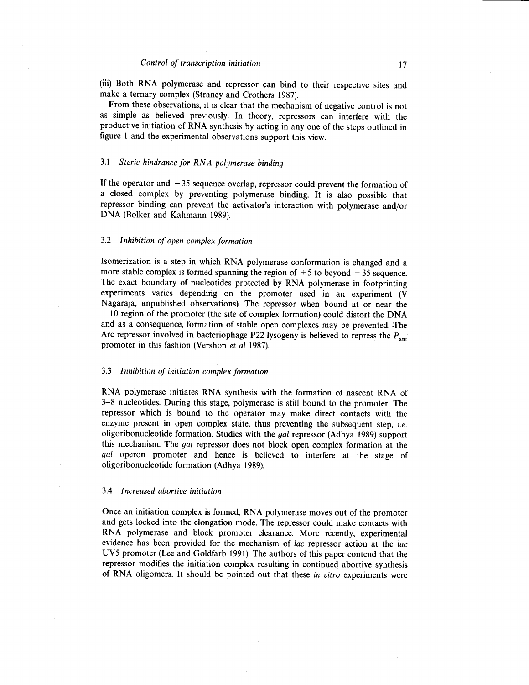(iii) Both RNA polymerase and repressor can bind to their respective sites and make a ternary complex (Straney and Crothers 1987).

From these observations, it is clear that the mechanism of negative control is not as simple as believed previously. In theory, repressors can interfere with the productive initiation of RNA synthesis by acting in any one of the steps outlined in figure 1 and the experimental observations support this view.

# 3 .1 Steric hindrance for RNA polymerase binding

If the operator and  $-35$  sequence overlap, repressor could prevent the formation of a closed complex by preventing polymerase binding . It is also possible that repressor binding can prevent the activator's interaction with polymerase and/or DNA (Bolker and Kahmann 1989).

# 3 .2 Inhibition of open complex formation

Isomerization is a step in which RNA polymerase conformation is changed and a more stable complex is formed spanning the region of  $+5$  to beyond  $-35$  sequence. The exact boundary of nucleotides protected by RNA polymerase in footprinting experiments varies depending on the promoter used in an experiment (V Nagaraja, unpublished observations) . The repressor when bound at or near the  $-10$  region of the promoter (the site of complex formation) could distort the DNA and as a consequence, formation of stable open complexes may be prevented. The Arc repressor involved in bacteriophage P22 lysogeny is believed to repress the  $P_{\text{ant}}$ promoter in this fashion (Vershon et al 1987).

## 3 .3 Inhibition of initiation complex formation

RNA polymerase initiates RNA synthesis with the formation of nascent RNA of 3-8 nucleotides . During this stage, polymerase is still bound to the promoter. The repressor which is bound to the operator may make direct contacts with the enzyme present in open complex state, thus preventing the subsequent step, i.e. oligoribonucleotide formation. Studies with the gal repressor (Adhya 1989) support this mechanism. The gal repressor does not block open complex formation at the gal operon promoter and hence is believed to interfere at the stage of oligoribonucleotide formation (Adhya 1989).

### 3 .4 Increased abortive initiation

Once an initiation complex is formed, RNA polymerase moves out of the promoter and gets locked into the elongation mode . The repressor could make contacts with RNA polymerase and block promoter clearance . More recently, experimental evidence has been provided for the mechanism of lac repressor action at the lac UV5 promoter (Lee and Goldfarb 1991). The authors of this paper contend that the repressor modifies the initiation complex resulting in continued abortive synthesis of RNA oligomers. It should be pointed out that these in vitro experiments were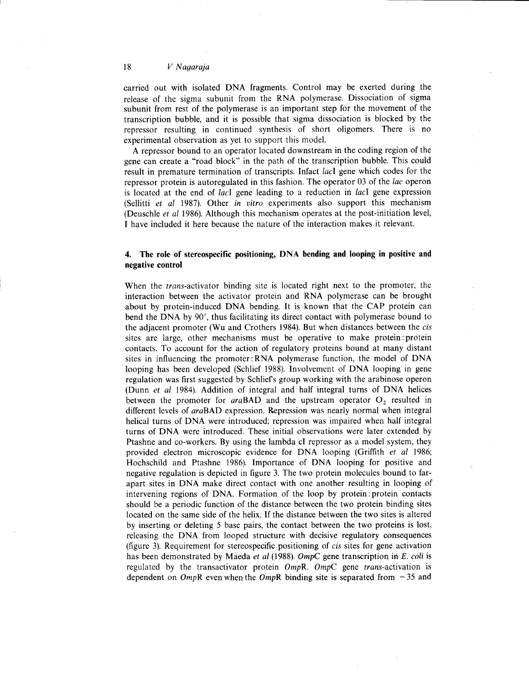#### <sup>1</sup> 8 V Nagaraja

 

carried out with isolated DNA fragments . Control may be exerted during the release of the sigma subunit from the RNA polymerase. Dissociation of sigma subunit from rest of the polymerase is an important step for the movement of the transcription bubble, and it is possible that sigma dissociation is blocked by the repressor resulting in continued synthesis of short oligomers. There is no experimental observation as yet to support this model.

A repressor bound to an operator located downstream in the coding region of the gene can create a "road block" in the path of the transcription bubble . This could result in premature termination of transcripts. Infact lacI gene which codes for the repressor protein is autoregulated in this fashion. The operator 03 of the lac operon is located at the end of lacI gene leading to a reduction in lacI gene expression (Sellitti et al 1987) . Other in vitro experiments also support this mechanism (Deuschle et al 1986). Although this mechanism operates at the post-initiation level, I have included it here because the nature of the interaction makes it relevant .

# 4. The role of stereospecific positioning, DNA bending and looping in positive and negative control

When the *trans*-activator binding site is located right next to the promoter, the interaction between the activator protein and RNA polymerase can be brought about by protein-induced DNA bending. It is known that the CAP protein can bend the DNA by 90°, thus facilitating its direct contact with polymerase bound to the adjacent promoter (Wu and Crothers 1984) . But when distances between the cis sites are large, other mechanisms must be operative to make protein : protein contacts . To account for the action of regulatory proteins bound at many distant sites in influencing the promoter : RNA polymerase function, the model of DNA looping has been developed (Schlief 1988) . Involvement of DNA looping in gene regulation was first suggested by Schliefs group working with the arabinose operon (Dunn et al 1984). Addition of integral and half integral turns of DNA helices between the promoter for  $arabAD$  and the upstream operator  $O<sub>2</sub>$  resulted in different levels of araBAD expression . Repression was nearly normal when integral helical turns of DNA were introduced; repression was impaired when half integral turns of DNA were introduced. These initial observations were later extended by Ptashne and co-workers. By using the lambda cI repressor as a model system, they provided electron microscopic evidence for DNA looping (Griffith et al 1986; Hochschild and Ptashne 1986). Importance of DNA looping for positive and negative regulation is depicted in figure 3 . The two protein molecules bound to farapart sites in DNA make direct contact with one another resulting in looping of intervening regions of DNA . Formation of the loop by protein : protein contacts should be a periodic function of the distance between the two protein binding sites located on the same side of the helix. If the distance between the two sites is altered by inserting or deleting 5 base pairs, the contact between the two proteins is lost, releasing the DNA from looped structure with decisive regulatory consequences (figure 3) . Requirement for stereospecific positioning of cis sites for gene activation has been demonstrated by Maeda et al (1988). OmpC gene transcription in E. coli is regulated by the transactivator protein OmpR. OmpC gene trans-activation is dependent on OmpR even when the OmpR binding site is separated from  $-35$  and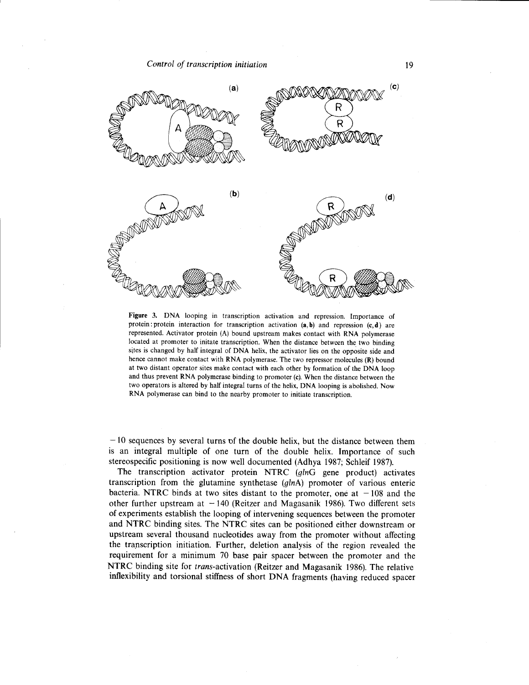

Figure 3. DNA looping in transcription activation and repression. Importance of protein : protein interaction for transcription activation  $(a, b)$  and repression  $(c, d)$  are represented. Activator protein (A) bound upstream makes contact with RNA polymerase located at promoter to initate transcription. When the distance between the two binding sites is changed by half integral of DNA helix, the activator lies on the opposite side and hence cannot make contact with RNA polymerase. The two repressor molecules (R) bound at two distant operator sites make contact with each other by formation of the DNA loop and thus prevent RNA polymerase binding to promoter (c) . When the distance between the two operators is altered by half integral turns of the helix, DNA looping is abolished. Now RNA polymerase can bind to the nearby promoter to initiate transcription.

 $-10$  sequences by several turns of the double helix, but the distance between them is an integral multiple of one turn of the double helix. Importance of such stereospecific positioning is now well documented (Adhya 1987; Schleif 1987).

The transcription activator protein NTRC (glnG gene product) activates transcription from the glutamine synthetase (glnA) promoter of various enteric bacteria. NTRC binds at two sites distant to the promoter, one at  $-108$  and the other further upstream at  $-140$  (Reitzer and Magasanik 1986). Two different sets of experiments establish the looping of intervening sequences between the promoter and NTRC binding sites. The NTRC sites can be positioned either downstream or upstream several thousand nucleotides away from the promoter without affecting the transcription initiation . Further, deletion analysis of the region revealed the requirement for a minimum 70 base pair spacer between the promoter and the NTRC binding site for trans-activation (Reitzer and Magasanik 1986). The relative inflexibility and torsional stiffness of short DNA fragments (having reduced spacer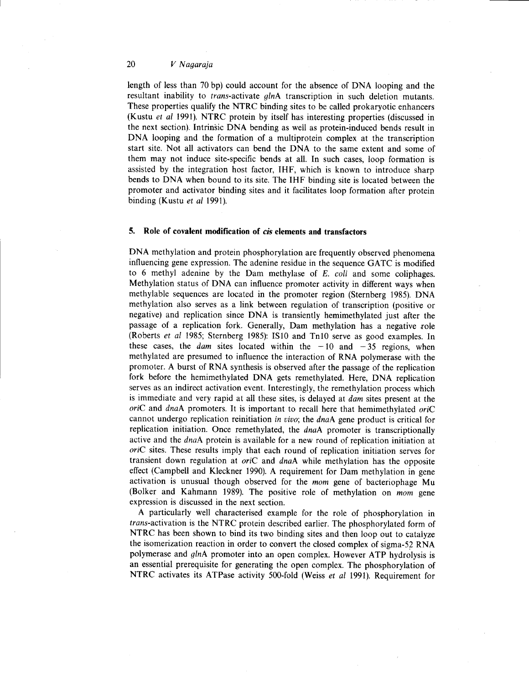length of less than 70 bp) could account for the absence of DNA looping and the resultant inability to trans-activate glnA transcription in such deletion mutants. These properties qualify the NTRC binding sites to be called prokaryotic enhancers (Kustu et al 1991). NTRC protein by itself has interesting properties (discussed in the next section) . Intrinsic DNA bending as well as protein-induced bends result in DNA looping and the formation of a multiprotein complex at the transcription start site . Not all activators can bend the DNA to the same extent and some of them may not induce site-specific bends at all . In such cases, loop formation is assisted by the integration host factor, IHF, which is known to introduce sharp bends to DNA when bound to its site . The IHF binding site is located between the promoter and activator binding sites and it facilitates loop formation after protein binding (Kustu et al 1991).

## 5. Role of covalent modification of *cis* elements and transfactors

DNA methylation and protein phosphorylation are frequently observed phenomena influencing gene expression. The adenine residue in the sequence GATC is modified to  $6$  methyl adenine by the Dam methylase of  $E$ . *coli* and some coliphages. Methylation status of DNA can influence promoter activity in different ways when methylable sequences are located in the promoter region (Sternberg 1985). DNA methylation also serves as a link between regulation of transcription (positive or negative) and replication since DNA is transiently hemimethylated just after the passage of a replication fork . Generally, Dam methylation has a negative role (Roberts et al 1985; Sternberg 1985): IS10 and Tn10 serve as good examples. In these cases, the *dam* sites located within the  $-10$  and  $-35$  regions, when methylated are presumed to influence the interaction of RNA polymerase with the promoter. A burst of RNA synthesis is observed after the passage of the replication fork before the hemimethylated DNA gets remethylated . Here, DNA replication serves as an indirect activation event. Interestingly, the remethylation process which is immediate and very rapid at all these sites, is delayed at dam sites present at the oriC and dnaA promoters. It is important to recall here that hemimethylated oriC cannot undergo replication reinitiation in vivo; the dnaA gene product is critical for replication initiation . Once remethylated, the dnaA promoter is transcriptionally active and the dnaA protein is available for a new round of replication initiation at oriC sites. These results imply that each round of replication initiation serves for transient down regulation at oriC and dnaA while methylation has the opposite effect (Campbell and Kleckner 1990). A requirement for Dam methylation in gene activation is unusual though observed for the mom gene of bacteriophage Mu (Bolker and Kahmann 1989). The positive role of methylation on mom gene expression is discussed in the next section.

A particularly well characterised example for the role of phosphorylation in trans-activation is the NTRC protein described earlier. The phosphorylated form of NTRC has been shown to bind its two binding sites and then loop out to catalyze the isomerization reaction in order to convert the closed complex of sigma-52 RNA polymerase and glnA promoter into an open complex. However ATP hydrolysis is an essential prerequisite for generating the open complex. The phosphorylation of NTRC activates its ATPase activity 500-fold (Weiss et al 1991). Requirement for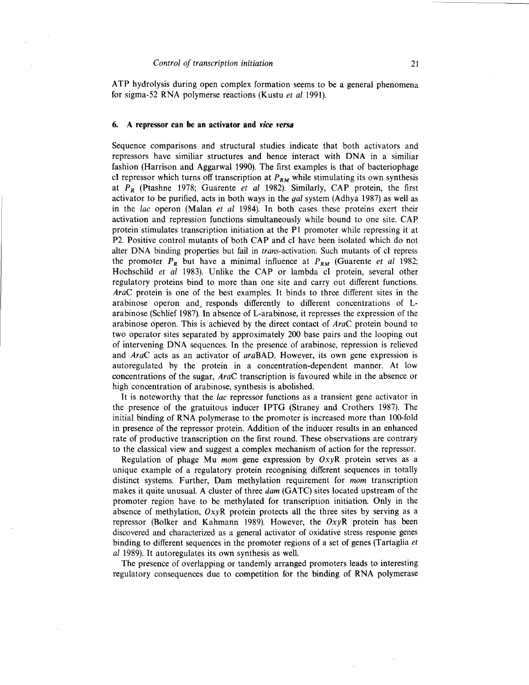ATP hydrolysis during open complex formation seems to be a general phenomena for sigma-52 RNA polymerse reactions (Kustu et al 1991).

### 6. A repressor can be an activator and vice versa

Sequence comparisons and structural studies indicate that both activators and repressors have similiar structures and hence interact with DNA in a similiar fashion (Harrison and Aggarwal 1990) . The first examples is that of bacteriophage cI repressor which turns off transcription at  $P_{RM}$  while stimulating its own synthesis at  $P_R$  (Ptashne 1978; Guarente et al 1982). Similarly, CAP protein, the first activator to be purified, acts in both ways in the gal system (Adhya 1987) as well as in the lac operon (Malan et al 1984). In both cases these proteins exert their activation and repression functions simultaneously while bound to one site . CAP protein stimulates transcription initiation at the P1 promoter while repressing it at P2. Positive control mutants of both CAP and cI have been isolated which do not alter DNA binding properties but fail in trans-activation . Such mutants of cI repress the promoter  $P_R$  but have a minimal influence at  $P_{RM}$  (Guarente et al 1982; Hochschild et al 1983). Unlike the CAP or lambda cI protein, several other regulatory proteins bind to more than one site and carry out different functions . AraC protein is one of the best examples. It binds to three different sites in the arabinose operon and, responds differently to different concentrations of Larabinose (Schlief 1987) . In absence of L-arabinose, it represses the expression of the arabinose operon. This is achieved by the direct contact of  $AraC$  protein bound to two operator sites separated by approximately 200 base pairs and the looping out of intervening DNA sequences . In the presence of arabinose, repression is relieved and AraC acts as an activator of araBAD. However, its own gene expression is autoregulated by the protein in a concentration-dependent manner . At low concentrations of the sugar, AraC transcription is favoured while in the absence or high concentration of arabinose, synthesis is abolished.

It is noteworthy that the lac repressor functions as a transient gene activator in the presence of the gratuitous inducer IPTG (Straney and Crothers 1987). The initial binding of RNA polymerase to the promoter is increased more than 100-fold in presence of the repressor protein. Addition of the inducer results in an enhanced rate of productive transcription on the first round. These observations are contrary to the classical view and suggest a complex mechanism of action for the repressor .

Regulation of phage Mu mom gene expression by  $OxyR$  protein serves as a unique example of a regulatory protein recognising different sequences in totally distinct systems. Further, Dam methylation requirement for *mom* transcription makes it quite unusual. A cluster of three dam (GATC) sites located upstream of the promoter region have to be methylated for transcription initiation . Only in the absence of methylation,  $OxyR$  protein protects all the three sites by serving as a repressor (Bolker and Kahmann 1989). However, the  $OxyR$  protein has been discovered and characterized as a general activator of oxidative stress response genes binding to different sequences in the promoter regions of a set of genes (Tartaglia et al 1989). It autoregulates its own synthesis as well.

The presence of overlapping or tandemly arranged promoters leads to interesting regulatory consequences due to competition for the binding of RNA polymerase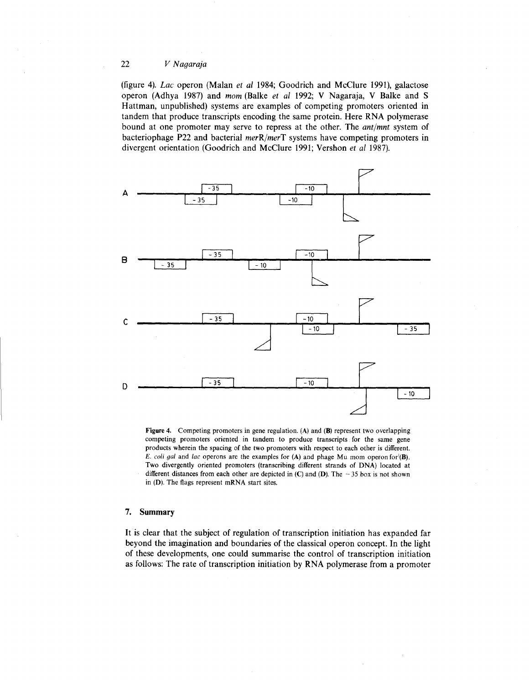#### 22 V Nagaraja

 

(figure 4) . Lac operon (Malan et al 1984; Goodrich and McClure 1991), galactose operon (Adhya 1987) and mom (Balke et al 1992; V Nagaraja, V Balke and S Hattman, unpublished) systems are examples of competing promoters oriented in tandem that produce transcripts encoding the same protein . Here RNA polymerase bound at one promoter may serve to repress at the other. The ant/mnt system of bacteriophage P22 and bacterial merR/merT systems have competing promoters in divergent orientation (Goodrich and McClure 1991; Vershon et al 1987).



Figure 4. Competing promoters in gene regulation. (A) and (B) represent two overlapping competing promoters oriented in tandem to produce transcripts for the same gene products wherein the spacing of the two promoters with respect to each other is different. E. coli gal and lac operons are the examples for  $(A)$  and phage Mu mom operon for  $(B)$ . Two divergently oriented promoters (transcribing different strands of DNA) located at different distances from each other are depicted in (C) and (D). The  $-35$  box is not shown in (D). The flags represent mRNA start sites.

### 7. Summary

It is clear that the subject of regulation of transcription initiation has expanded far beyond the imagination and boundaries of the classical operon concept . In the light of these developments, one could summarise the control of transcription initiation as follows: The rate of transcription initiation by RNA polymerase from a promoter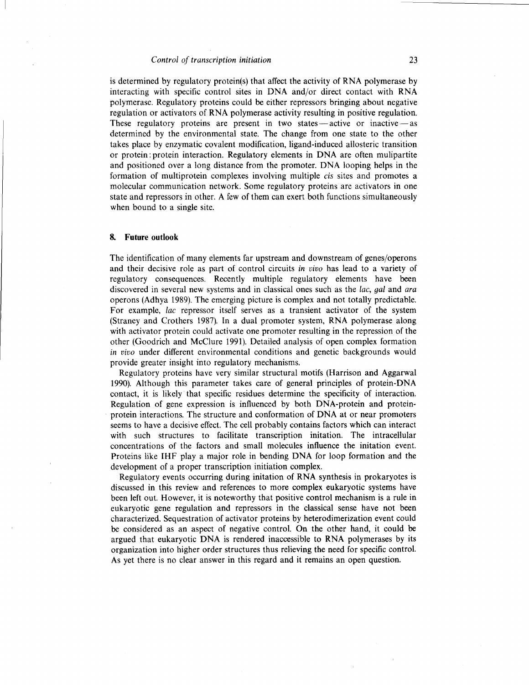is determined by regulatory protein(s) that affect the activity of RNA polymerase by interacting with specific control sites in DNA and/or direct contact with RNA polymerase. Regulatory proteins could be either repressors bringing about negative regulation or activators of RNA polymerase activity resulting in positive regulation . These regulatory proteins are present in two states—active or inactive—as determined by the environmental state . The change from one state to the other takes place by enzymatic covalent modification, ligand-induced allosteric transition or protein : protein interaction . Regulatory elements in DNA are often mulipartite and positioned over a long distance from the promoter . DNA looping helps in the formation of multiprotein complexes involving multiple cis sites and promotes a molecular communication network. Some regulatory proteins are activators in one state and repressors in other. A few of them can exert both functions simultaneously when bound to a single site.

### 8. Future outlook

 

The identification of many elements far upstream and downstream of genes/operons and their decisive role as part of control circuits in vivo has lead to a variety of regulatory consequences . Recently multiple regulatory elements have been discovered in several new systems and in classical ones such as the *lac*, gal and ara operons (Adhya 1989). The emerging picture is complex and not totally predictable. For example, lac repressor itself serves as a transient activator of the system (Straney and Crothers 1987) . In a dual promoter system, RNA polymerase along with activator protein could activate one promoter resulting in the repression of the other (Goodrich and McClure 1991). Detailed analysis of open complex formation in vivo under different environmental conditions and genetic backgrounds would provide greater insight into regulatory mechanisms .

Regulatory proteins have very similar structural motifs (Harrison and Aggarwal 1990) . Although this parameter takes care of general principles of protein-DNA contact, it is likely that specific residues determine the specificity of interaction . Regulation of gene expression is influenced by both DNA-protein and proteinprotein interactions . The structure and conformation of DNA at or near promoters seems to have a decisive effect. The cell probably contains factors which can interact with such structures to facilitate transcription initation . The intracellular concentrations of the factors and small molecules influence the initation event . Proteins like IHF play a major role in bending DNA for loop formation and the development of a proper transcription initiation complex.

Regulatory events occurring during initation of RNA synthesis in prokaryotes is discussed in this review and references to more complex eukaryotic systems have been left out. However, it is noteworthy that positive control mechanism is a rule in eukaryotic gene regulation and repressors in the classical sense have not been characterized . Sequestration of activator proteins by heterodimerization event could be considered as an aspect of negative control. On the other hand, it could be argued that eukaryotic DNA is rendered inaccessible to RNA polymerases by its organization into higher order structures thus relieving the need for specific control . As yet there is no clear answer in this regard and it remains an open question.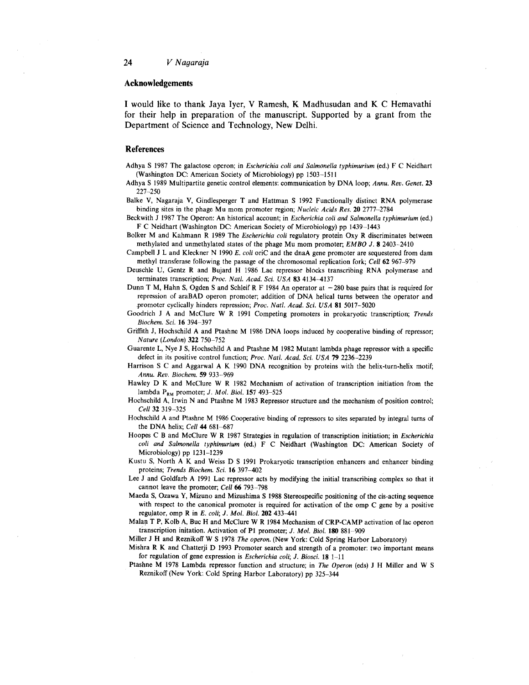V Nagaraja

# Acknowledgements

I would like to thank Jaya Iyer, V Ramesh, K Madhusudan and K C Hemavathi for their help in preparation of the manuscript. Supported by a grant from the Department of Science and Technology, New Delhi.

### References

24

 

Adhya S 1987 The galactose operon; in Escherichia coli and Salmonella typhimurium (ed.) F C Neidhart (Washington DC: American Society of Microbiology) pp 1503-1511

- Adhya S 1989 Multipartite genetic control elements: communication by DNA loop; Annu. Rev. Genet. 23 227-250
- Balke V, Nagaraja V, Gindlesperger T and Hattman S 1992 Functionally distinct RNA polymerase binding sites in the phage Mu mom promoter region; Nucleic Acids Res. 20 2777-2784
- Beckwith J 1987 The Operon: An historical account; in Escherichia coli and Salmonella typhimurium (ed.) F C Neidhart (Washington DC : American Society of Microbiology) pp 1439-1443
- Bolker M and Kahmann R 1989 The *Escherichia coli* regulatory protein Oxy R discriminates between methylated and unmethylated states of the phage Mu mom promoter; EMBO J. 8 2403-2410
- Campbell J L and Kleckner N 1990 E . coli oriC and the dnaA gene promoter are sequestered from dam methyl transferase following the passage of the chromosomal replication fork; Cell 62 967-979
- Deuschle U, Gentz R and Bujard H 1986 Lac repressor blocks transcribing RNA polymerase and terminates transcription; Proc. Natl. Acad. Sci. USA 83 4134-4137
- Dunn T M, Hahn S, Ogden S and Schleif R F 1984 An operator at  $-280$  base pairs that is required for repression of araBAD operon promoter; addition of DNA helical turns between the operator and promoter cyclically hinders repression; Proc. Natl. Acad. Sci. USA 81 5017-5020
- Goodrich J A and McClure W R 1991 Competing promoters in prokaryotic transcription; Trends Biochem. Sci. 16 394-397
- Griffith J, Hochschild A and Ptashne M 1986 DNA loops induced by cooperative binding of repressor; Nature (London) 322 750-752
- Guarente L, Nye J S, Hochschild A and Ptashne M 1982 Mutant lambda phage repressor with a specific defect in its positive control function; Proc. Natl. Acad. Sci. USA 79 2236-2239
- Harrison S C and Aggarwal A K 1990 DNA recognition by proteins with the helix-turn-helix motif, Annu. Rev. Biochem. 59 933-969
- Hawley D K and McClure W R 1982 Mechanism of activation of transcription initiation from the lambda  $P_{RM}$  promoter; J. Mol. Biol. 157 493-525
- Hochschild A, Irwin N and Ptashne M 1983 Repressor structure and the mechanism of position control; Cell 32 319-325
- Hochschild A and Ptashne M 1986 Cooperative binding of repressors to sites separated by integral turns of the DNA helix; Cell 44 681-687
- Hoopes C B and McClure W R 1987 Strategies in regulation of transcription initiation; in *Escherichia* coli and Salmonella typhimurium (ed.) F C Neidhart (Washington DC: American Society of Microbiology) pp 1231-1239
- Kustu S, North A K and Weiss D S 1991 Prokaryotic transcription enhancers and enhancer binding proteins; Trends Biochem. Sci. 16 397-402
- Lee J and Goldfarb A 1991 Lac repressor acts by modifying the initial transcribing complex so that it cannot leave the promoter; Cell 66 793-798
- Maeda S, Ozawa Y, Mizuno and Mizushima S 1988 Stereospecific positioning of the cis-acting sequence with respect to the canonical promoter is required for activation of the omp C gene by a positive regulator, omp R in E. coli; J. Mol. Biol. 202 433-441
- Malap T P, Kolb A, Buc H and McClure W R 1984 Mechanism of CRP-CAMP activation of lac operon transcription initation . Activation of PI promoter ; J. Mol. Biol. 180 881-909

Miller J H and Reznikoff W S 1978 The operon. (New York: Cold Spring Harbor Laboratory)

- Mishra R K and Chatterji D 1993 Promoter search and strength of a promoter : two important means for regulation of gene expression is Escherichia coli; J. Biosci. 18 1-11
- Ptashne M 1978 Lambda repressor function and structure; in The Operon (eds) J H Miller and W S Reznikoff (New York: Cold Spring Harbor Laboratory) pp 325-344